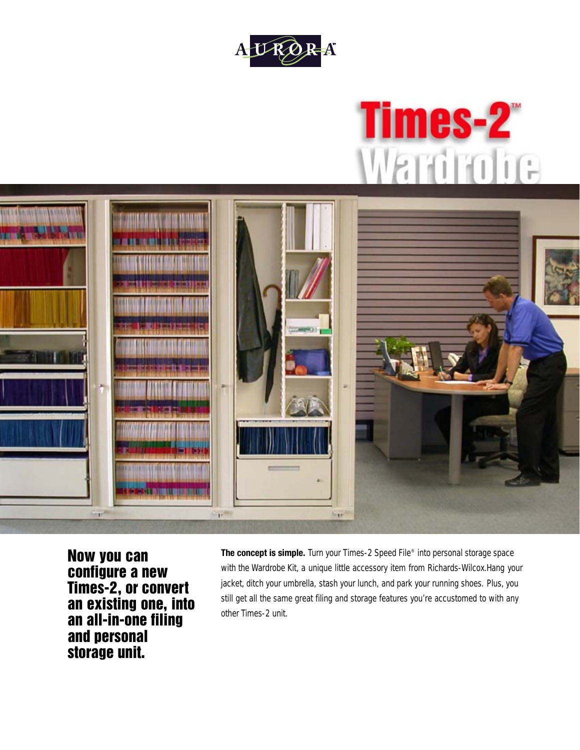





**Now you can configure a new Times-2, or convert an existing one, into an all-in-one filing and personal storage unit.**

**The concept is simple.** Turn your Times-2 Speed File® into personal storage space with the Wardrobe Kit, a unique little accessory item from Richards-Wilcox.Hang your jacket, ditch your umbrella, stash your lunch, and park your running shoes. Plus, you still get all the same great filing and storage features you're accustomed to with any other Times-2 unit.